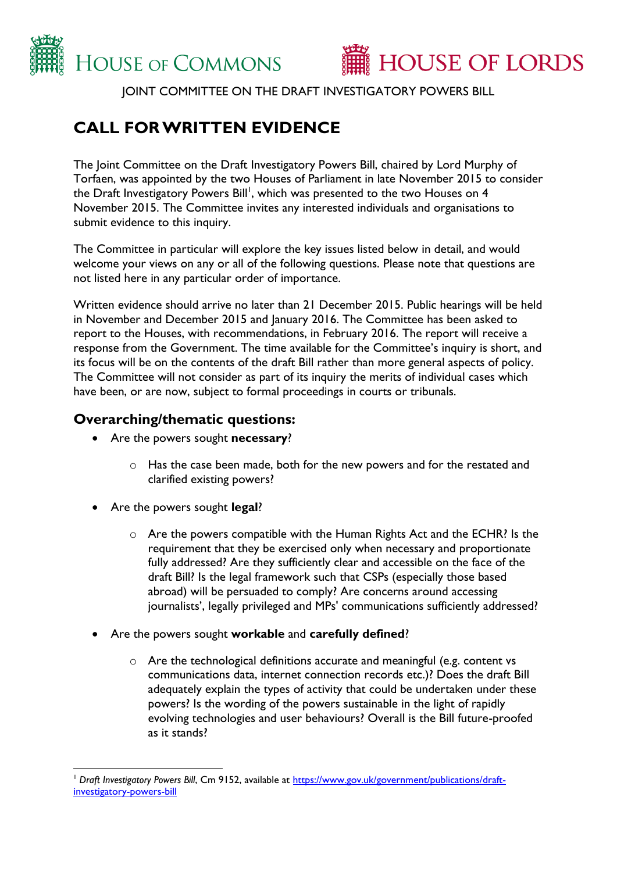



JOINT COMMITTEE ON THE DRAFT INVESTIGATORY POWERS BILL

# **CALL FOR WRITTEN EVIDENCE**

The Joint Committee on the Draft Investigatory Powers Bill, chaired by Lord Murphy of Torfaen, was appointed by the two Houses of Parliament in late November 2015 to consider the Draft Investigatory Powers Bill', which was presented to the two Houses on 4  $\,$ November 2015. The Committee invites any interested individuals and organisations to submit evidence to this inquiry.

The Committee in particular will explore the key issues listed below in detail, and would welcome your views on any or all of the following questions. Please note that questions are not listed here in any particular order of importance.

Written evidence should arrive no later than 21 December 2015. Public hearings will be held in November and December 2015 and January 2016. The Committee has been asked to report to the Houses, with recommendations, in February 2016. The report will receive a response from the Government. The time available for the Committee's inquiry is short, and its focus will be on the contents of the draft Bill rather than more general aspects of policy. The Committee will not consider as part of its inquiry the merits of individual cases which have been, or are now, subject to formal proceedings in courts or tribunals.

## **Overarching/thematic questions:**

- Are the powers sought **necessary**?
	- o Has the case been made, both for the new powers and for the restated and clarified existing powers?
- Are the powers sought **legal**?
	- $\circ$  Are the powers compatible with the Human Rights Act and the ECHR? Is the requirement that they be exercised only when necessary and proportionate fully addressed? Are they sufficiently clear and accessible on the face of the draft Bill? Is the legal framework such that CSPs (especially those based abroad) will be persuaded to comply? Are concerns around accessing journalists', legally privileged and MPs' communications sufficiently addressed?
- Are the powers sought **workable** and **carefully defined**?
	- o Are the technological definitions accurate and meaningful (e.g. content vs communications data, internet connection records etc.)? Does the draft Bill adequately explain the types of activity that could be undertaken under these powers? Is the wording of the powers sustainable in the light of rapidly evolving technologies and user behaviours? Overall is the Bill future-proofed as it stands?

 $\overline{a}$ <sup>1</sup> Draft Investigatory Powers Bill, Cm 9152, available at [https://www.gov.uk/government/publications/draft](https://www.gov.uk/government/publications/draft-investigatory-powers-bill)[investigatory-powers-bill](https://www.gov.uk/government/publications/draft-investigatory-powers-bill)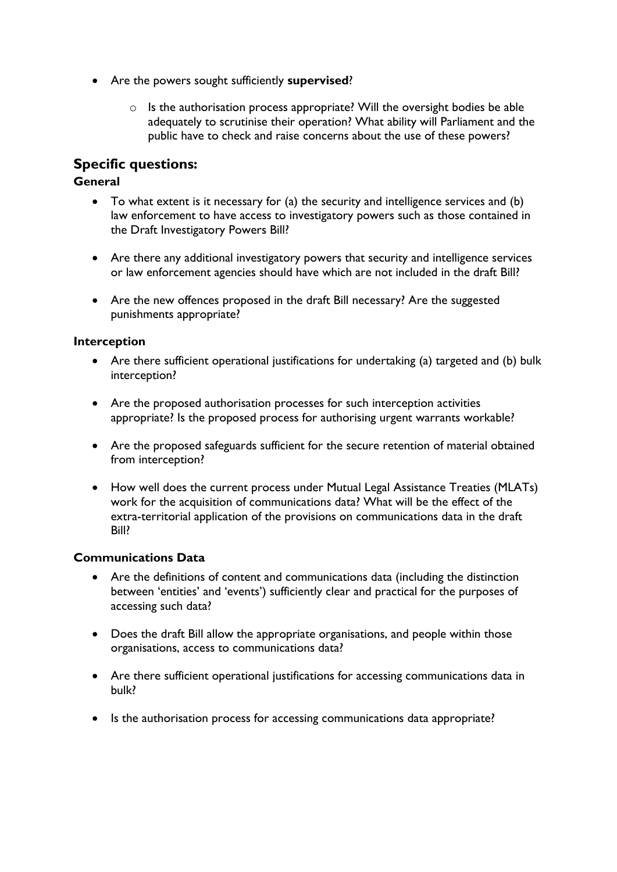- Are the powers sought sufficiently **supervised**?
	- o Is the authorisation process appropriate? Will the oversight bodies be able adequately to scrutinise their operation? What ability will Parliament and the public have to check and raise concerns about the use of these powers?

# **Specific questions:**

#### **General**

- To what extent is it necessary for (a) the security and intelligence services and (b) law enforcement to have access to investigatory powers such as those contained in the Draft Investigatory Powers Bill?
- Are there any additional investigatory powers that security and intelligence services or law enforcement agencies should have which are not included in the draft Bill?
- Are the new offences proposed in the draft Bill necessary? Are the suggested punishments appropriate?

#### **Interception**

- Are there sufficient operational justifications for undertaking (a) targeted and (b) bulk interception?
- Are the proposed authorisation processes for such interception activities appropriate? Is the proposed process for authorising urgent warrants workable?
- Are the proposed safeguards sufficient for the secure retention of material obtained from interception?
- How well does the current process under Mutual Legal Assistance Treaties (MLATs) work for the acquisition of communications data? What will be the effect of the extra-territorial application of the provisions on communications data in the draft Bill?

#### **Communications Data**

- Are the definitions of content and communications data (including the distinction between 'entities' and 'events') sufficiently clear and practical for the purposes of accessing such data?
- Does the draft Bill allow the appropriate organisations, and people within those organisations, access to communications data?
- Are there sufficient operational justifications for accessing communications data in bulk?
- Is the authorisation process for accessing communications data appropriate?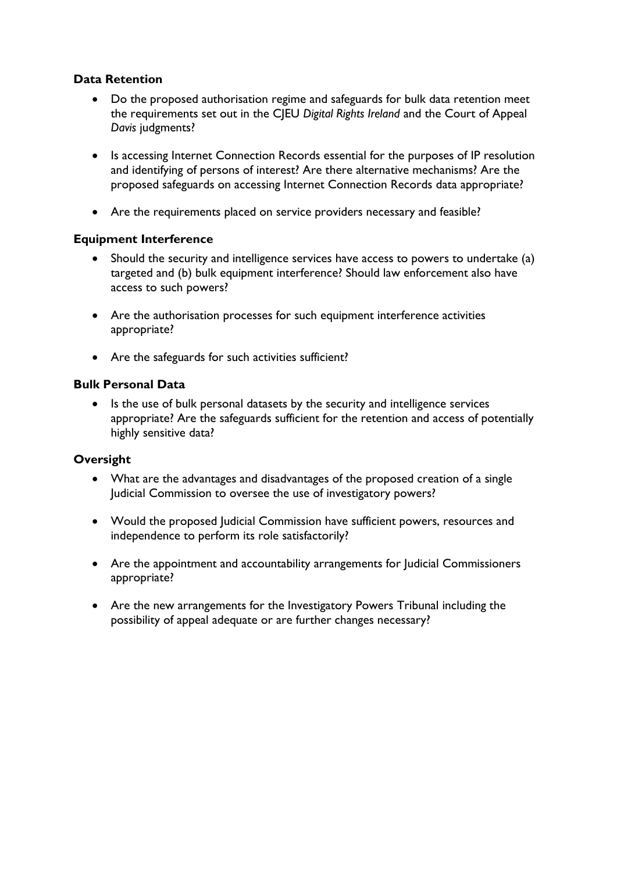#### **Data Retention**

- Do the proposed authorisation regime and safeguards for bulk data retention meet the requirements set out in the CJEU *Digital Rights Ireland* and the Court of Appeal *Davis* judgments?
- Is accessing Internet Connection Records essential for the purposes of IP resolution and identifying of persons of interest? Are there alternative mechanisms? Are the proposed safeguards on accessing Internet Connection Records data appropriate?
- Are the requirements placed on service providers necessary and feasible?

#### **Equipment Interference**

- Should the security and intelligence services have access to powers to undertake (a) targeted and (b) bulk equipment interference? Should law enforcement also have access to such powers?
- Are the authorisation processes for such equipment interference activities appropriate?
- Are the safeguards for such activities sufficient?

#### **Bulk Personal Data**

• Is the use of bulk personal datasets by the security and intelligence services appropriate? Are the safeguards sufficient for the retention and access of potentially highly sensitive data?

#### **Oversight**

- What are the advantages and disadvantages of the proposed creation of a single Judicial Commission to oversee the use of investigatory powers?
- Would the proposed Judicial Commission have sufficient powers, resources and independence to perform its role satisfactorily?
- Are the appointment and accountability arrangements for Judicial Commissioners appropriate?
- Are the new arrangements for the Investigatory Powers Tribunal including the possibility of appeal adequate or are further changes necessary?